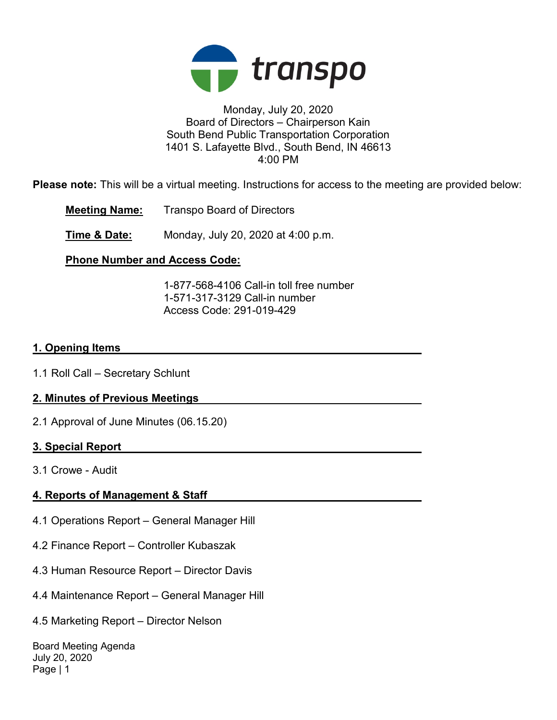

# Monday, July 20, 2020 Board of Directors – Chairperson Kain South Bend Public Transportation Corporation 1401 S. Lafayette Blvd., South Bend, IN 46613 4:00 PM

Please note: This will be a virtual meeting. Instructions for access to the meeting are provided below:

Meeting Name: Transpo Board of Directors

**Time & Date:** Monday, July 20, 2020 at 4:00 p.m.

# Phone Number and Access Code:

 1-877-568-4106 Call-in toll free number 1-571-317-3129 Call-in number Access Code: 291-019-429

# 1. Opening Items

1.1 Roll Call – Secretary Schlunt

# 2. Minutes of Previous Meetings

2.1 Approval of June Minutes (06.15.20)

# 3. Special Report

3.1 Crowe - Audit

# 4. Reports of Management & Staff

- 4.1 Operations Report General Manager Hill
- 4.2 Finance Report Controller Kubaszak
- 4.3 Human Resource Report Director Davis
- 4.4 Maintenance Report General Manager Hill
- 4.5 Marketing Report Director Nelson

Board Meeting Agenda July 20, 2020 Page | 1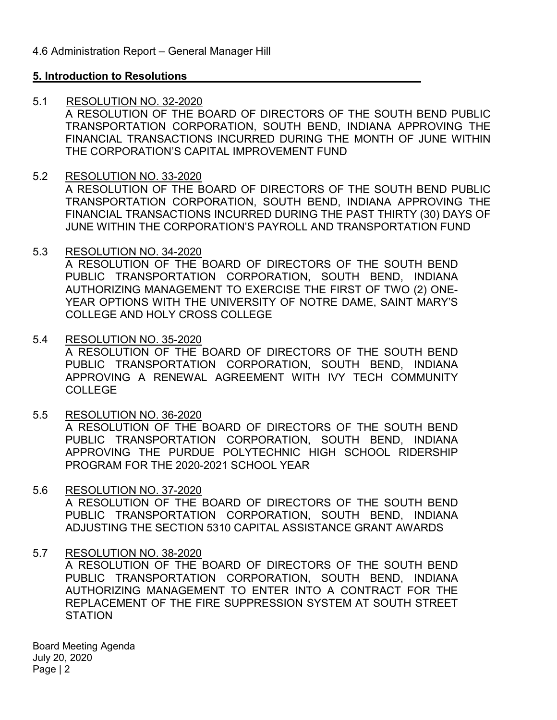# 5. Introduction to Resolutions

5.1 RESOLUTION NO. 32-2020

A RESOLUTION OF THE BOARD OF DIRECTORS OF THE SOUTH BEND PUBLIC TRANSPORTATION CORPORATION, SOUTH BEND, INDIANA APPROVING THE FINANCIAL TRANSACTIONS INCURRED DURING THE MONTH OF JUNE WITHIN THE CORPORATION'S CAPITAL IMPROVEMENT FUND

# 5.2 RESOLUTION NO. 33-2020

A RESOLUTION OF THE BOARD OF DIRECTORS OF THE SOUTH BEND PUBLIC TRANSPORTATION CORPORATION, SOUTH BEND, INDIANA APPROVING THE FINANCIAL TRANSACTIONS INCURRED DURING THE PAST THIRTY (30) DAYS OF JUNE WITHIN THE CORPORATION'S PAYROLL AND TRANSPORTATION FUND

5.3 RESOLUTION NO. 34-2020

A RESOLUTION OF THE BOARD OF DIRECTORS OF THE SOUTH BEND PUBLIC TRANSPORTATION CORPORATION, SOUTH BEND, INDIANA AUTHORIZING MANAGEMENT TO EXERCISE THE FIRST OF TWO (2) ONE-YEAR OPTIONS WITH THE UNIVERSITY OF NOTRE DAME, SAINT MARY'S COLLEGE AND HOLY CROSS COLLEGE

5.4 RESOLUTION NO. 35-2020

A RESOLUTION OF THE BOARD OF DIRECTORS OF THE SOUTH BEND PUBLIC TRANSPORTATION CORPORATION, SOUTH BEND, INDIANA APPROVING A RENEWAL AGREEMENT WITH IVY TECH COMMUNITY COLLEGE

5.5 RESOLUTION NO. 36-2020

A RESOLUTION OF THE BOARD OF DIRECTORS OF THE SOUTH BEND PUBLIC TRANSPORTATION CORPORATION, SOUTH BEND, INDIANA APPROVING THE PURDUE POLYTECHNIC HIGH SCHOOL RIDERSHIP PROGRAM FOR THE 2020-2021 SCHOOL YEAR

5.6 RESOLUTION NO. 37-2020

A RESOLUTION OF THE BOARD OF DIRECTORS OF THE SOUTH BEND PUBLIC TRANSPORTATION CORPORATION, SOUTH BEND, INDIANA ADJUSTING THE SECTION 5310 CAPITAL ASSISTANCE GRANT AWARDS

# 5.7 RESOLUTION NO. 38-2020

A RESOLUTION OF THE BOARD OF DIRECTORS OF THE SOUTH BEND PUBLIC TRANSPORTATION CORPORATION, SOUTH BEND, INDIANA AUTHORIZING MANAGEMENT TO ENTER INTO A CONTRACT FOR THE REPLACEMENT OF THE FIRE SUPPRESSION SYSTEM AT SOUTH STREET **STATION** 

Board Meeting Agenda July 20, 2020 Page | 2